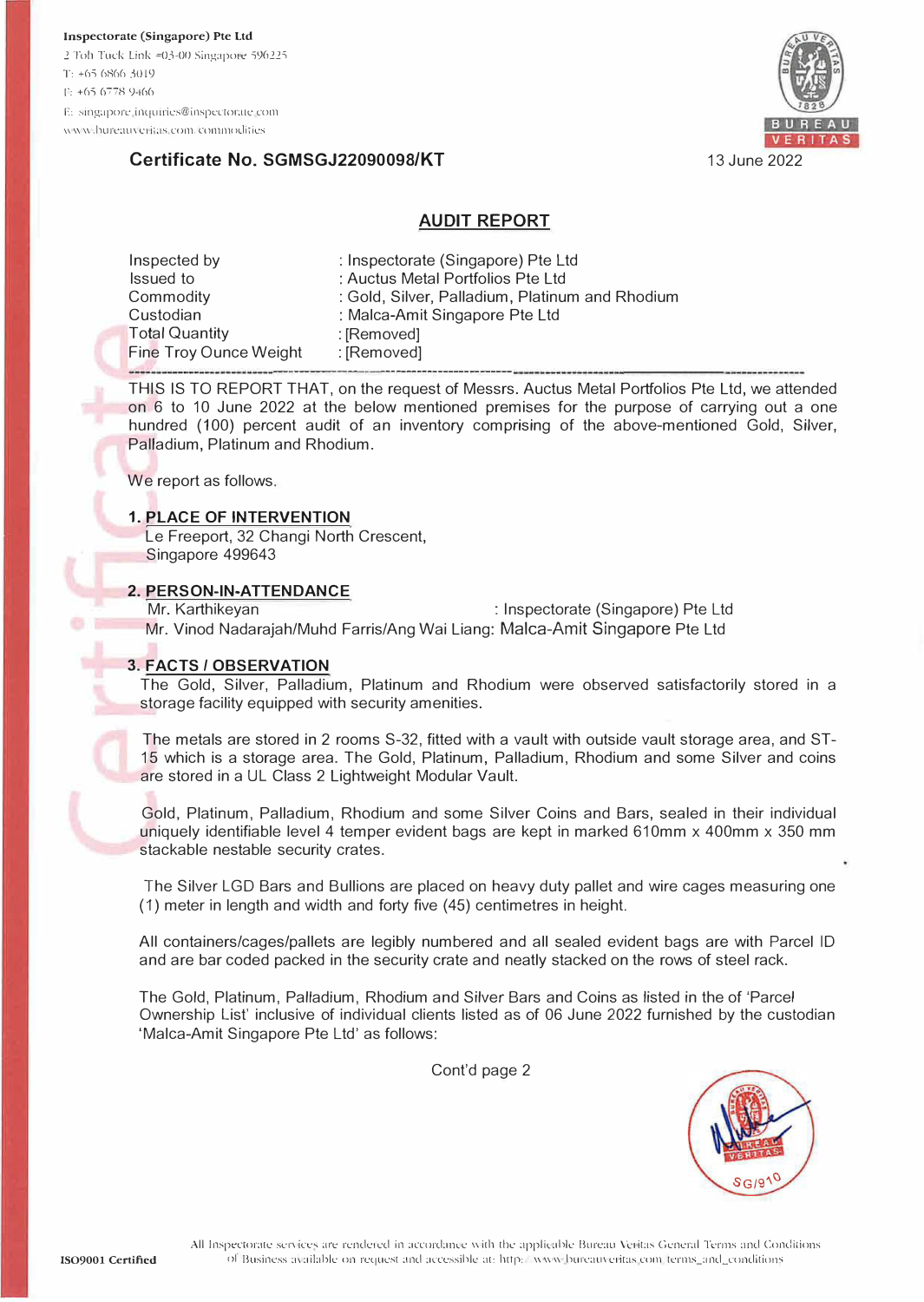

## Certificate No. SGMSGJ22090098/KT

#### **AUDIT REPORT**

| Inspected by           | : Inspectorate (Singapore) Pte Ltd              |  |
|------------------------|-------------------------------------------------|--|
| Issued to              | : Auctus Metal Portfolios Pte Ltd               |  |
| Commodity              | : Gold, Silver, Palladium, Platinum and Rhodium |  |
| Custodian              | : Malca-Amit Singapore Pte Ltd                  |  |
| <b>Total Quantity</b>  | : [Removed]                                     |  |
| Fine Troy Ounce Weight | : [Removed]                                     |  |
|                        |                                                 |  |

THIS IS TO REPORT THAT, on the request of Messrs. Auctus Metal Portfolios Pte Ltd, we attended on 6 to 10 June 2022 at the below mentioned premises for the purpose of carrying out a one hundred (100) percent audit of an inventory comprising of the above-mentioned Gold, Silver, Palladium, Platinum and Rhodium.

We report as follows.

#### **1. PLACE OF INTERVENTION**

Le Freeport, 32 Changi North Crescent, Singapore 499643

#### 2. PERSON-IN-ATTENDANCE

Mr. Karthikeyan : Inspectorate (Singapore) Pte Ltd Mr. Vinod Nadaraiah/Muhd Farris/Ang Wai Liang: Malca-Amit Singapore Pte Ltd

#### **3. FACTS / OBSERVATION**

The Gold, Silver, Palladium, Platinum and Rhodium were observed satisfactorily stored in a storage facility equipped with security amenities.

The metals are stored in 2 rooms S-32, fitted with a vault with outside vault storage area, and ST-15 which is a storage area. The Gold, Platinum, Palladium, Rhodium and some Silver and coins are stored in a UL Class 2 Lightweight Modular Vault.

Gold, Platinum, Palladium, Rhodium and some Silver Coins and Bars, sealed in their individual uniquely identifiable level 4 temper evident bags are kept in marked 610mm x 400mm x 350 mm stackable nestable security crates.

The Silver LGD Bars and Bullions are placed on heavy duty pallet and wire cages measuring one (1) meter in length and width and forty five (45) centimetres in height.

All containers/cages/pallets are legibly numbered and all sealed evident bags are with Parcel ID and are bar coded packed in the security crate and neatly stacked on the rows of steel rack.

The Gold, Platinum, Palladium, Rhodium and Silver Bars and Coins as listed in the of 'Parcel Ownership List' inclusive of individual clients listed as of 06 June 2022 furnished by the custodian 'Malca-Amit Singapore Pte Ltd' as follows:

Cont'd page 2